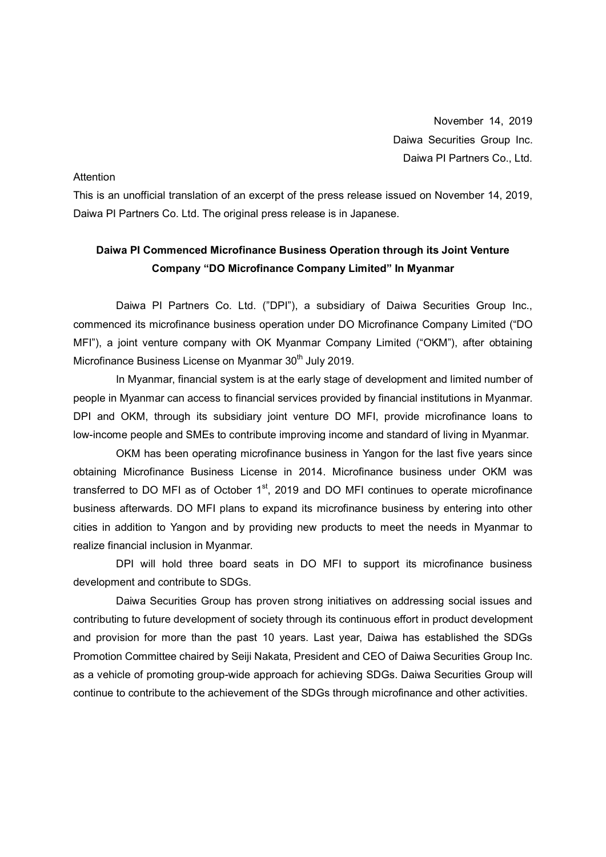November 14, 2019 Daiwa Securities Group Inc. Daiwa PI Partners Co., Ltd.

#### **Attention**

This is an unofficial translation of an excerpt of the press release issued on November 14, 2019, Daiwa PI Partners Co. Ltd. The original press release is in Japanese.

# **Daiwa PI Commenced Microfinance Business Operation through its Joint Venture Company "DO Microfinance Company Limited" In Myanmar**

Daiwa PI Partners Co. Ltd. ("DPI"), a subsidiary of Daiwa Securities Group Inc., commenced its microfinance business operation under DO Microfinance Company Limited ("DO MFI"), a joint venture company with OK Myanmar Company Limited ("OKM"), after obtaining Microfinance Business License on Myanmar 30<sup>th</sup> July 2019.

In Myanmar, financial system is at the early stage of development and limited number of people in Myanmar can access to financial services provided by financial institutions in Myanmar. DPI and OKM, through its subsidiary joint venture DO MFI, provide microfinance loans to low-income people and SMEs to contribute improving income and standard of living in Myanmar.

OKM has been operating microfinance business in Yangon for the last five years since obtaining Microfinance Business License in 2014. Microfinance business under OKM was transferred to DO MFI as of October  $1<sup>st</sup>$ , 2019 and DO MFI continues to operate microfinance business afterwards. DO MFI plans to expand its microfinance business by entering into other cities in addition to Yangon and by providing new products to meet the needs in Myanmar to realize financial inclusion in Myanmar.

DPI will hold three board seats in DO MFI to support its microfinance business development and contribute to SDGs.

Daiwa Securities Group has proven strong initiatives on addressing social issues and contributing to future development of society through its continuous effort in product development and provision for more than the past 10 years. Last year, Daiwa has established the SDGs Promotion Committee chaired by Seiji Nakata, President and CEO of Daiwa Securities Group Inc. as a vehicle of promoting group-wide approach for achieving SDGs. Daiwa Securities Group will continue to contribute to the achievement of the SDGs through microfinance and other activities.